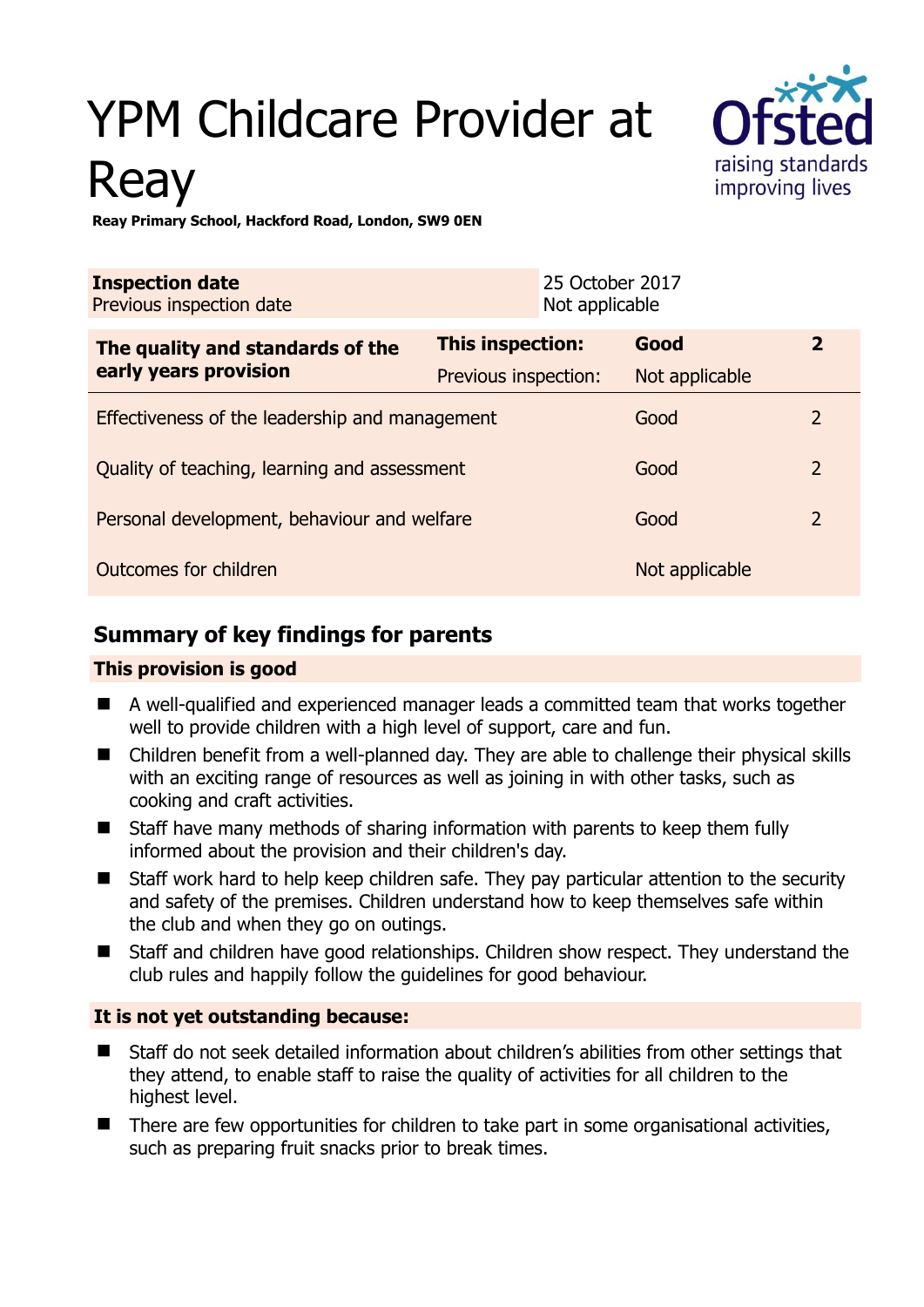# YPM Childcare Provider at Reay



**Reay Primary School, Hackford Road, London, SW9 0EN** 

| <b>Inspection date</b><br>Previous inspection date        |                         | 25 October 2017<br>Not applicable |                |                |
|-----------------------------------------------------------|-------------------------|-----------------------------------|----------------|----------------|
| The quality and standards of the<br>early years provision | <b>This inspection:</b> |                                   | Good           | $\overline{2}$ |
|                                                           | Previous inspection:    |                                   | Not applicable |                |
| Effectiveness of the leadership and management            |                         |                                   | Good           | $\overline{2}$ |
| Quality of teaching, learning and assessment              |                         |                                   | Good           | $\overline{2}$ |
| Personal development, behaviour and welfare               |                         |                                   | Good           | $\overline{2}$ |
| Outcomes for children                                     |                         |                                   | Not applicable |                |

# **Summary of key findings for parents**

## **This provision is good**

- A well-qualified and experienced manager leads a committed team that works together well to provide children with a high level of support, care and fun.
- Children benefit from a well-planned day. They are able to challenge their physical skills with an exciting range of resources as well as joining in with other tasks, such as cooking and craft activities.
- Staff have many methods of sharing information with parents to keep them fully informed about the provision and their children's day.
- Staff work hard to help keep children safe. They pay particular attention to the security and safety of the premises. Children understand how to keep themselves safe within the club and when they go on outings.
- Staff and children have good relationships. Children show respect. They understand the club rules and happily follow the guidelines for good behaviour.

## **It is not yet outstanding because:**

- Staff do not seek detailed information about children's abilities from other settings that they attend, to enable staff to raise the quality of activities for all children to the highest level.
- There are few opportunities for children to take part in some organisational activities, such as preparing fruit snacks prior to break times.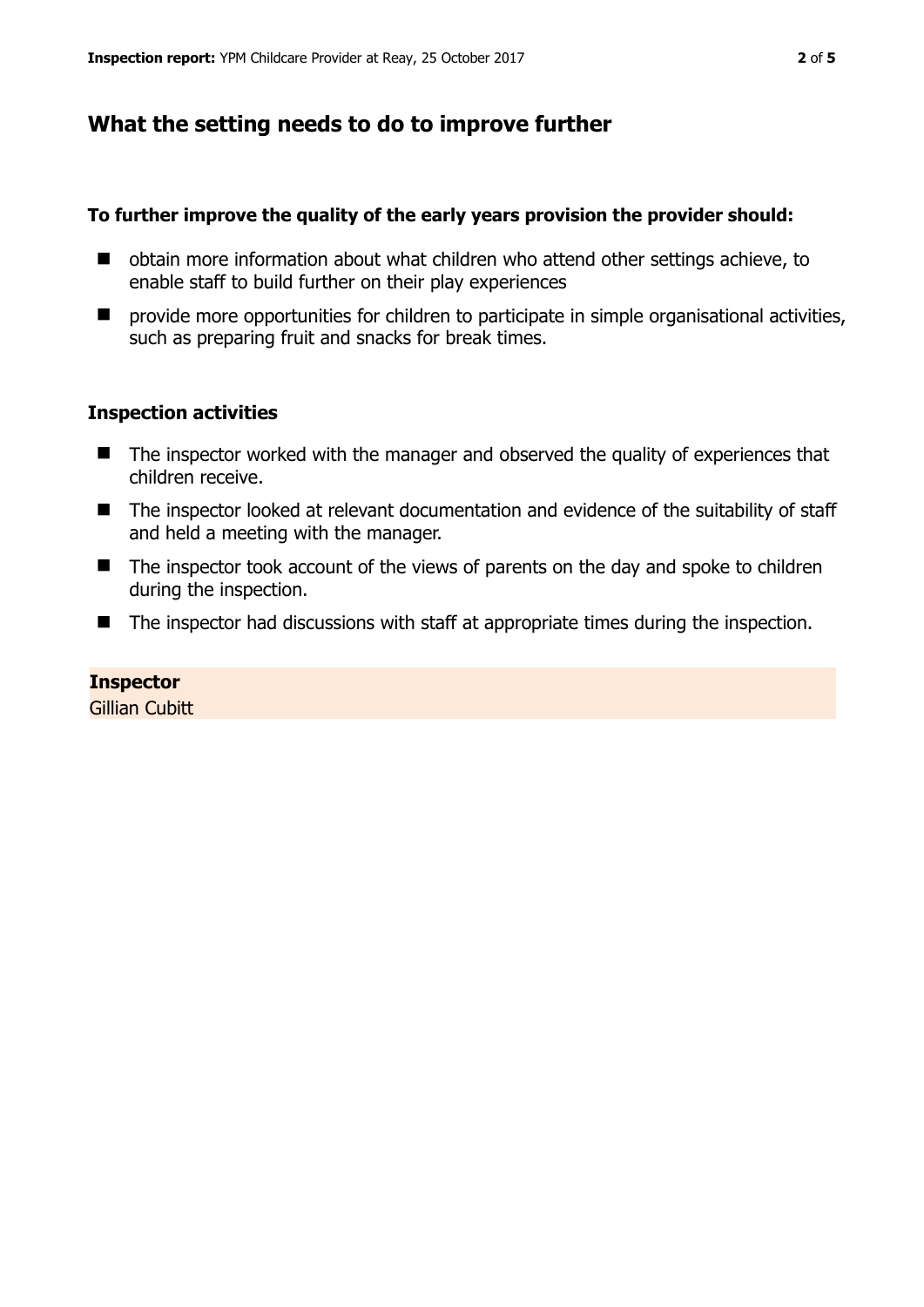# **What the setting needs to do to improve further**

#### **To further improve the quality of the early years provision the provider should:**

- obtain more information about what children who attend other settings achieve, to enable staff to build further on their play experiences
- $\blacksquare$  provide more opportunities for children to participate in simple organisational activities, such as preparing fruit and snacks for break times.

#### **Inspection activities**

- The inspector worked with the manager and observed the quality of experiences that children receive.
- The inspector looked at relevant documentation and evidence of the suitability of staff and held a meeting with the manager.
- The inspector took account of the views of parents on the day and spoke to children during the inspection.
- The inspector had discussions with staff at appropriate times during the inspection.

#### **Inspector**

**Gillian Cubitt**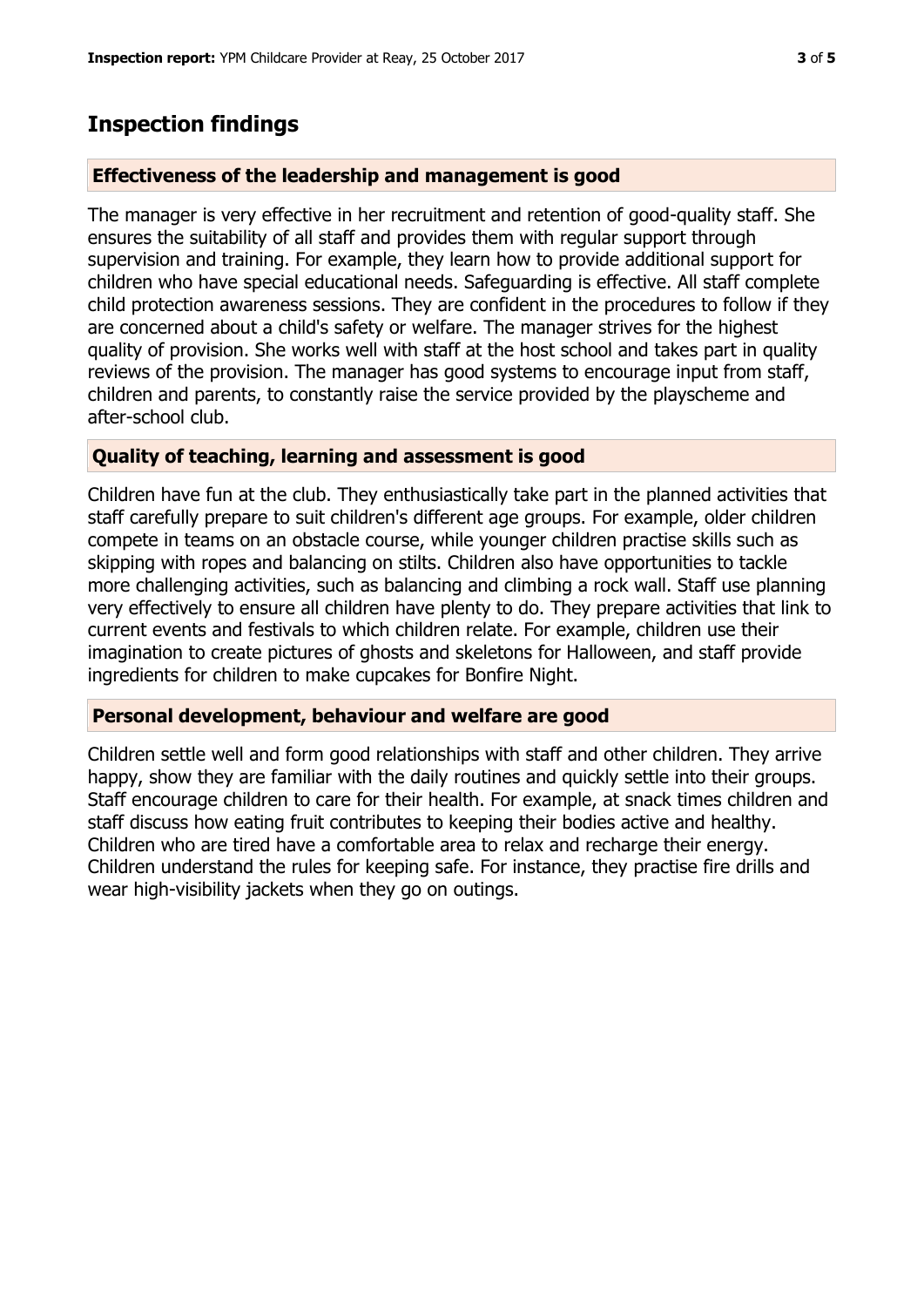# **Inspection findings**

## **Effectiveness of the leadership and management is good**

The manager is very effective in her recruitment and retention of good-quality staff. She ensures the suitability of all staff and provides them with regular support through supervision and training. For example, they learn how to provide additional support for children who have special educational needs. Safeguarding is effective. All staff complete child protection awareness sessions. They are confident in the procedures to follow if they are concerned about a child's safety or welfare. The manager strives for the highest quality of provision. She works well with staff at the host school and takes part in quality reviews of the provision. The manager has good systems to encourage input from staff, children and parents, to constantly raise the service provided by the playscheme and after-school club.

## **Quality of teaching, learning and assessment is good**

Children have fun at the club. They enthusiastically take part in the planned activities that staff carefully prepare to suit children's different age groups. For example, older children compete in teams on an obstacle course, while younger children practise skills such as skipping with ropes and balancing on stilts. Children also have opportunities to tackle more challenging activities, such as balancing and climbing a rock wall. Staff use planning very effectively to ensure all children have plenty to do. They prepare activities that link to current events and festivals to which children relate. For example, children use their imagination to create pictures of ghosts and skeletons for Halloween, and staff provide ingredients for children to make cupcakes for Bonfire Night.

## **Personal development, behaviour and welfare are good**

Children settle well and form good relationships with staff and other children. They arrive happy, show they are familiar with the daily routines and quickly settle into their groups. Staff encourage children to care for their health. For example, at snack times children and staff discuss how eating fruit contributes to keeping their bodies active and healthy. Children who are tired have a comfortable area to relax and recharge their energy. Children understand the rules for keeping safe. For instance, they practise fire drills and wear high-visibility jackets when they go on outings.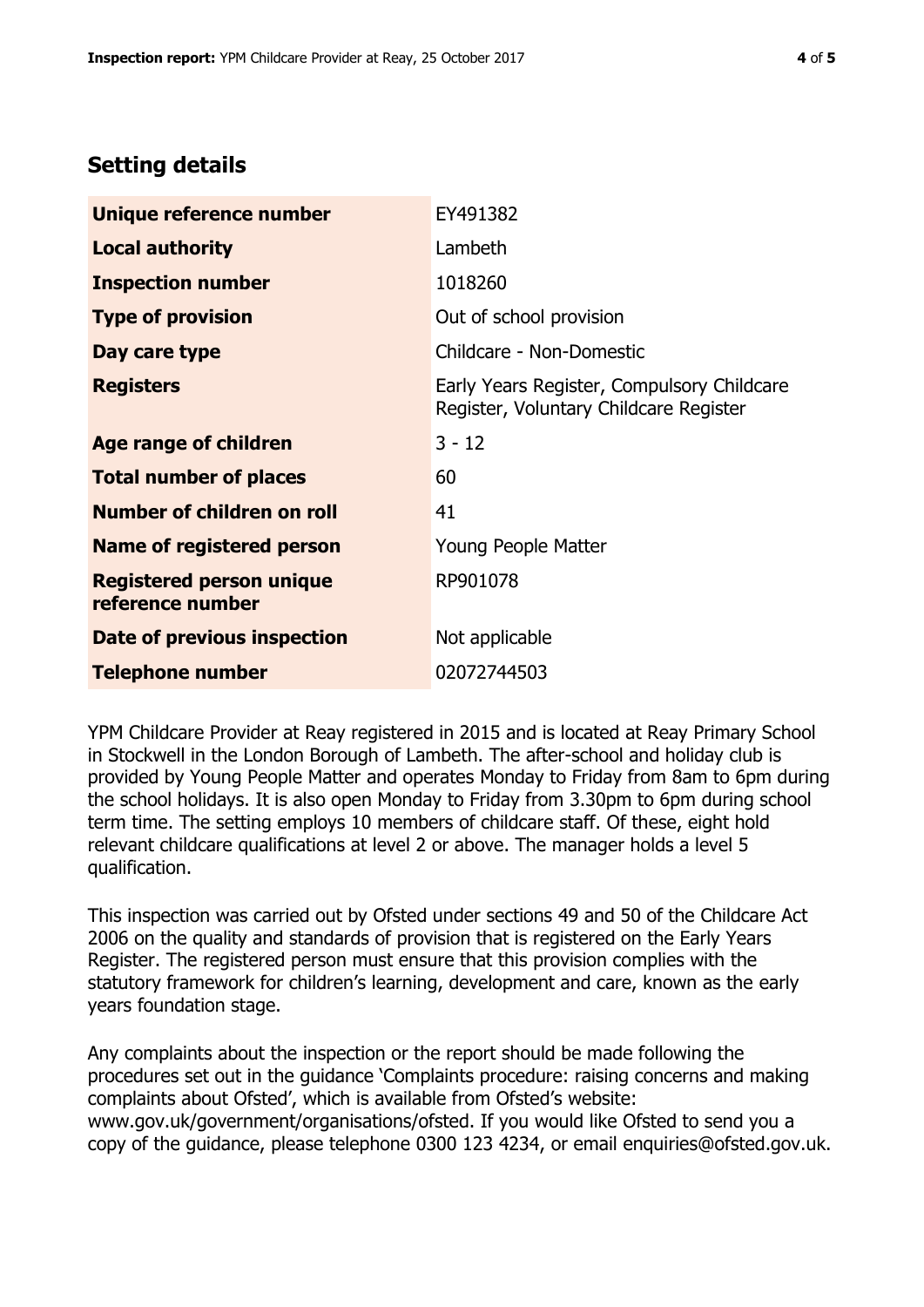# **Setting details**

| Unique reference number                             | EY491382                                                                             |  |
|-----------------------------------------------------|--------------------------------------------------------------------------------------|--|
| <b>Local authority</b>                              | Lambeth                                                                              |  |
| <b>Inspection number</b>                            | 1018260                                                                              |  |
| <b>Type of provision</b>                            | Out of school provision                                                              |  |
| Day care type                                       | Childcare - Non-Domestic                                                             |  |
| <b>Registers</b>                                    | Early Years Register, Compulsory Childcare<br>Register, Voluntary Childcare Register |  |
| Age range of children                               | $3 - 12$                                                                             |  |
| <b>Total number of places</b>                       | 60                                                                                   |  |
| Number of children on roll                          | 41                                                                                   |  |
| <b>Name of registered person</b>                    | Young People Matter                                                                  |  |
| <b>Registered person unique</b><br>reference number | RP901078                                                                             |  |
| Date of previous inspection                         | Not applicable                                                                       |  |
| <b>Telephone number</b>                             | 02072744503                                                                          |  |

YPM Childcare Provider at Reay registered in 2015 and is located at Reay Primary School in Stockwell in the London Borough of Lambeth. The after-school and holiday club is provided by Young People Matter and operates Monday to Friday from 8am to 6pm during the school holidays. It is also open Monday to Friday from 3.30pm to 6pm during school term time. The setting employs 10 members of childcare staff. Of these, eight hold relevant childcare qualifications at level 2 or above. The manager holds a level 5 qualification.

This inspection was carried out by Ofsted under sections 49 and 50 of the Childcare Act 2006 on the quality and standards of provision that is registered on the Early Years Register. The registered person must ensure that this provision complies with the statutory framework for children's learning, development and care, known as the early years foundation stage.

Any complaints about the inspection or the report should be made following the procedures set out in the guidance 'Complaints procedure: raising concerns and making complaints about Ofsted', which is available from Ofsted's website: www.gov.uk/government/organisations/ofsted. If you would like Ofsted to send you a copy of the guidance, please telephone 0300 123 4234, or email enquiries@ofsted.gov.uk.